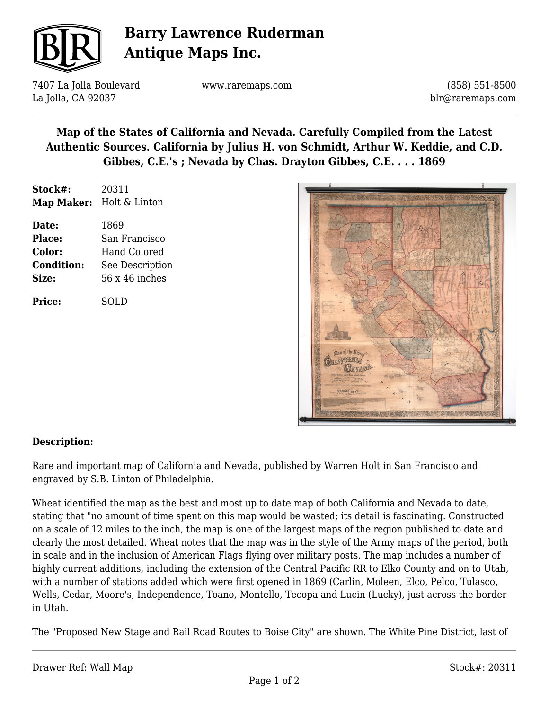

# **Barry Lawrence Ruderman Antique Maps Inc.**

7407 La Jolla Boulevard La Jolla, CA 92037

www.raremaps.com

(858) 551-8500 blr@raremaps.com

### **Map of the States of California and Nevada. Carefully Compiled from the Latest Authentic Sources. California by Julius H. von Schmidt, Arthur W. Keddie, and C.D. Gibbes, C.E.'s ; Nevada by Chas. Drayton Gibbes, C.E. . . . 1869**

| Stock#:       | 20311                    |
|---------------|--------------------------|
|               | Map Maker: Holt & Linton |
|               |                          |
| Date:         | 1869                     |
| <b>Place:</b> | San Francisco            |
|               |                          |

| <b>Color:</b>     | <b>Hand Colored</b> |
|-------------------|---------------------|
| <b>Condition:</b> | See Description     |
| Size:             | $56x46$ inches      |

**Price:** SOLD



#### **Description:**

Rare and important map of California and Nevada, published by Warren Holt in San Francisco and engraved by S.B. Linton of Philadelphia.

Wheat identified the map as the best and most up to date map of both California and Nevada to date, stating that "no amount of time spent on this map would be wasted; its detail is fascinating. Constructed on a scale of 12 miles to the inch, the map is one of the largest maps of the region published to date and clearly the most detailed. Wheat notes that the map was in the style of the Army maps of the period, both in scale and in the inclusion of American Flags flying over military posts. The map includes a number of highly current additions, including the extension of the Central Pacific RR to Elko County and on to Utah, with a number of stations added which were first opened in 1869 (Carlin, Moleen, Elco, Pelco, Tulasco, Wells, Cedar, Moore's, Independence, Toano, Montello, Tecopa and Lucin (Lucky), just across the border in Utah.

The "Proposed New Stage and Rail Road Routes to Boise City" are shown. The White Pine District, last of